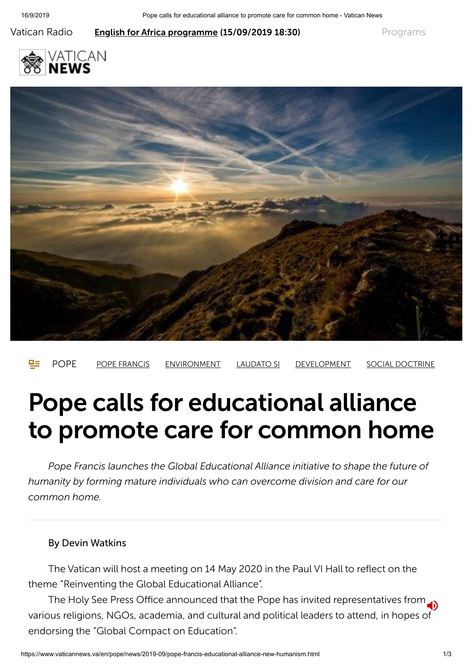Vatican Radio **English for [Africa programme](https://www.vaticannews.va/en/podcast/english-for-africa.html) (15/09/2019 18:30)** [Programs](https://www.vaticannews.va/en/epg.html#schedules)







# Pope calls for educational alliance to promote care for common home

*Pope Francis launches the Global Educational Alliance initiative to shape the future of humanity by forming mature individuals who can overcome division and care for our common home.*

#### By Devin Watkins

The Vatican will host a meeting on 14 May 2020 in the Paul VI Hall to reflect on the theme "Reinventing the Global Educational Alliance".

The Holy See Press Office announced that the Pope has invited representatives from various religions, NGOs, academia, and cultural and political leaders to attend, in hopes of endorsing the "Global Compact on Education".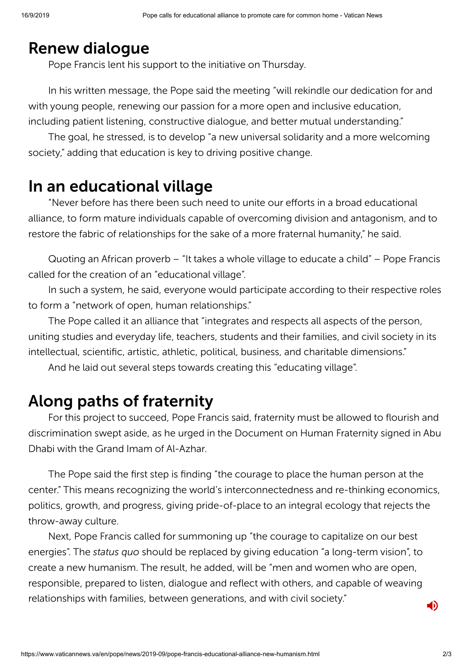#### Renew dialogue

Pope Francis lent his support to the initiative on Thursday.

In his written message, the Pope said the meeting "will rekindle our dedication for and with young people, renewing our passion for a more open and inclusive education, including patient listening, constructive dialogue, and better mutual understanding."

The goal, he stressed, is to develop "a new universal solidarity and a more welcoming society," adding that education is key to driving positive change.

#### In an educational village

"Never before has there been such need to unite our efforts in a broad educational alliance, to form mature individuals capable of overcoming division and antagonism, and to restore the fabric of relationships for the sake of a more fraternal humanity," he said.

Quoting an African proverb – "It takes a whole village to educate a child" – Pope Francis called for the creation of an "educational village".

In such a system, he said, everyone would participate according to their respective roles to form a "network of open, human relationships."

The Pope called it an alliance that "integrates and respects all aspects of the person, uniting studies and everyday life, teachers, students and their families, and civil society in its intellectual, scientific, artistic, athletic, political, business, and charitable dimensions."

And he laid out several steps towards creating this "educating village".

### Along paths of fraternity

For this project to succeed, Pope Francis said, fraternity must be allowed to flourish and discrimination swept aside, as he urged in the Document on Human Fraternity signed in Abu Dhabi with the Grand Imam of Al-Azhar.

The Pope said the first step is finding "the courage to place the human person at the center." This means recognizing the world's interconnectedness and re-thinking economics, politics, growth, and progress, giving pride-of-place to an integral ecology that rejects the throw-away culture.

Next, Pope Francis called for summoning up "the courage to capitalize on our best energies". The *status quo* should be replaced by giving education "a long-term vision", to create a new humanism. The result, he added, will be "men and women who are open, responsible, prepared to listen, dialogue and reflect with others, and capable of weaving relationships with families, between generations, and with civil society."